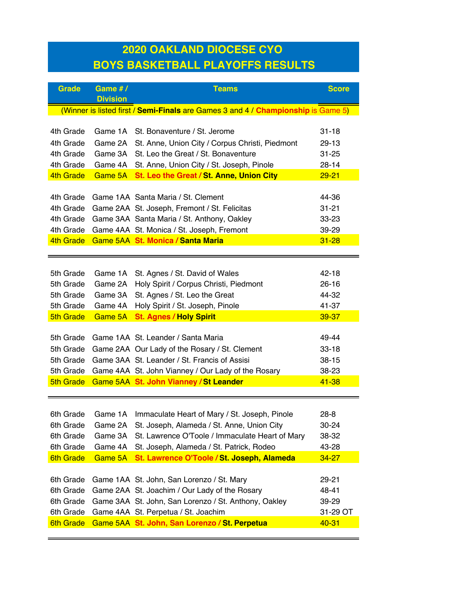## **2020 OAKLAND DIOCESE CYO BOYS BASKETBALL PLAYOFFS RESULTS**

| <b>Grade</b>     | Game #/<br><b>Division</b> | <b>Teams</b>                                                                      | <b>Score</b> |
|------------------|----------------------------|-----------------------------------------------------------------------------------|--------------|
|                  |                            | (Winner is listed first / Semi-Finals are Games 3 and 4 / Championship is Game 5) |              |
|                  |                            |                                                                                   |              |
| 4th Grade        | Game 1A                    | St. Bonaventure / St. Jerome                                                      | $31 - 18$    |
| 4th Grade        | Game 2A                    | St. Anne, Union City / Corpus Christi, Piedmont                                   | 29-13        |
| 4th Grade        | Game 3A                    | St. Leo the Great / St. Bonaventure                                               | $31 - 25$    |
| 4th Grade        | Game 4A                    | St. Anne, Union City / St. Joseph, Pinole                                         | $28 - 14$    |
| 4th Grade        | Game 5A                    | St. Leo the Great / St. Anne, Union City                                          | $29 - 21$    |
|                  |                            |                                                                                   |              |
| 4th Grade        |                            | Game 1AA Santa Maria / St. Clement                                                | 44-36        |
| 4th Grade        |                            | Game 2AA St. Joseph, Fremont / St. Felicitas                                      | $31 - 21$    |
| 4th Grade        |                            | Game 3AA Santa Maria / St. Anthony, Oakley                                        | 33-23        |
| 4th Grade        |                            | Game 4AA St. Monica / St. Joseph, Fremont                                         | 39-29        |
| 4th Grade        |                            | Game 5AA St. Monica / Santa Maria                                                 | $31 - 28$    |
|                  |                            |                                                                                   |              |
|                  |                            |                                                                                   |              |
| 5th Grade        | Game 1A                    | St. Agnes / St. David of Wales                                                    | $42 - 18$    |
| 5th Grade        | Game 2A                    | Holy Spirit / Corpus Christi, Piedmont                                            | $26 - 16$    |
| 5th Grade        | Game 3A                    | St. Agnes / St. Leo the Great                                                     | 44-32        |
| 5th Grade        | Game 4A                    | Holy Spirit / St. Joseph, Pinole                                                  | 41-37        |
| <b>5th Grade</b> | Game 5A                    | <b>St. Agnes / Holy Spirit</b>                                                    | 39-37        |
|                  |                            |                                                                                   |              |
| 5th Grade        |                            | Game 1AA St. Leander / Santa Maria                                                | 49-44        |
| 5th Grade        |                            | Game 2AA Our Lady of the Rosary / St. Clement                                     | $33 - 18$    |
| 5th Grade        |                            | Game 3AA St. Leander / St. Francis of Assisi                                      | $38 - 15$    |
| 5th Grade        |                            | Game 4AA St. John Vianney / Our Lady of the Rosary                                | 38-23        |
| <b>5th Grade</b> |                            | Game 5AA St. John Vianney / St Leander                                            | 41-38        |
|                  |                            |                                                                                   |              |
|                  |                            |                                                                                   |              |
| 6th Grade        | Game 1A                    | Immaculate Heart of Mary / St. Joseph, Pinole                                     | $28 - 8$     |
| 6th Grade        | Game 2A                    | St. Joseph, Alameda / St. Anne, Union City                                        | 30-24        |
| 6th Grade        | Game 3A                    | St. Lawrence O'Toole / Immaculate Heart of Mary                                   | 38-32        |
| 6th Grade        | Game 4A                    | St. Joseph, Alameda / St. Patrick, Rodeo                                          | 43-28        |
| <b>6th Grade</b> | Game 5A                    | St. Lawrence O'Toole / St. Joseph, Alameda                                        | $34 - 27$    |
|                  |                            |                                                                                   |              |
| 6th Grade        |                            | Game 1AA St. John, San Lorenzo / St. Mary                                         | 29-21        |
| 6th Grade        |                            | Game 2AA St. Joachim / Our Lady of the Rosary                                     | 48-41        |
| 6th Grade        |                            | Game 3AA St. John, San Lorenzo / St. Anthony, Oakley                              | 39-29        |
| 6th Grade        |                            | Game 4AA St. Perpetua / St. Joachim                                               | 31-29 OT     |
| <b>6th Grade</b> |                            | Game 5AA St. John, San Lorenzo / St. Perpetua                                     | $40 - 31$    |